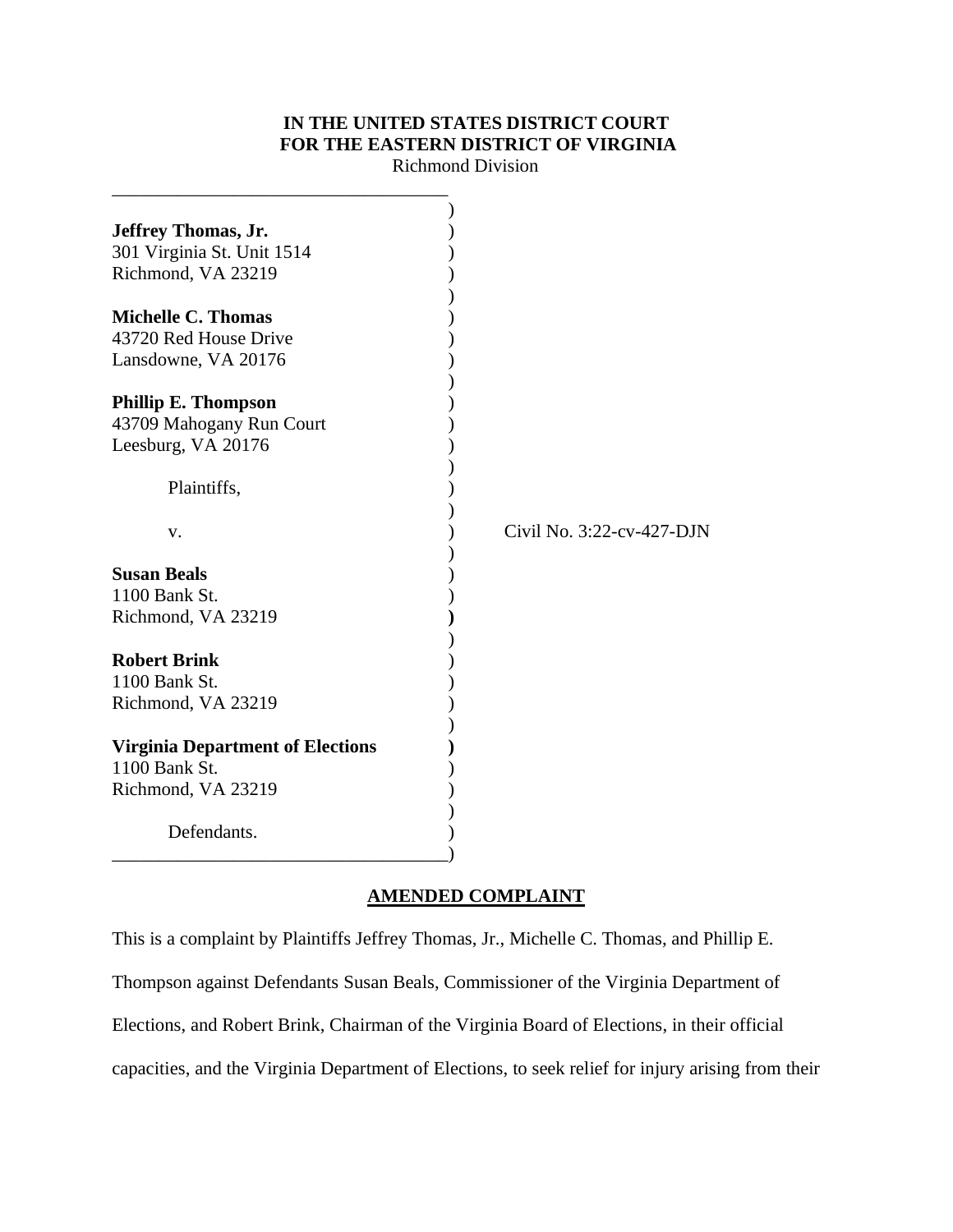# **IN THE UNITED STATES DISTRICT COURT FOR THE EASTERN DISTRICT OF VIRGINIA**

Richmond Division

| Jeffrey Thomas, Jr.                     |                           |
|-----------------------------------------|---------------------------|
| 301 Virginia St. Unit 1514              |                           |
| Richmond, VA 23219                      |                           |
|                                         |                           |
| <b>Michelle C. Thomas</b>               |                           |
| 43720 Red House Drive                   |                           |
| Lansdowne, VA 20176                     |                           |
|                                         |                           |
| <b>Phillip E. Thompson</b>              |                           |
|                                         |                           |
| 43709 Mahogany Run Court                |                           |
| Leesburg, VA 20176                      |                           |
|                                         |                           |
| Plaintiffs,                             |                           |
|                                         | Civil No. 3:22-cv-427-DJN |
| V.                                      |                           |
| <b>Susan Beals</b>                      |                           |
| 1100 Bank St.                           |                           |
|                                         |                           |
| Richmond, VA 23219                      |                           |
|                                         |                           |
| <b>Robert Brink</b>                     |                           |
| 1100 Bank St.                           |                           |
| Richmond, VA 23219                      |                           |
|                                         |                           |
| <b>Virginia Department of Elections</b> |                           |
| 1100 Bank St.                           |                           |
| Richmond, VA 23219                      |                           |
|                                         |                           |
| Defendants.                             |                           |
|                                         |                           |

## **AMENDED COMPLAINT**

This is a complaint by Plaintiffs Jeffrey Thomas, Jr., Michelle C. Thomas, and Phillip E. Thompson against Defendants Susan Beals, Commissioner of the Virginia Department of Elections, and Robert Brink, Chairman of the Virginia Board of Elections, in their official capacities, and the Virginia Department of Elections, to seek relief for injury arising from their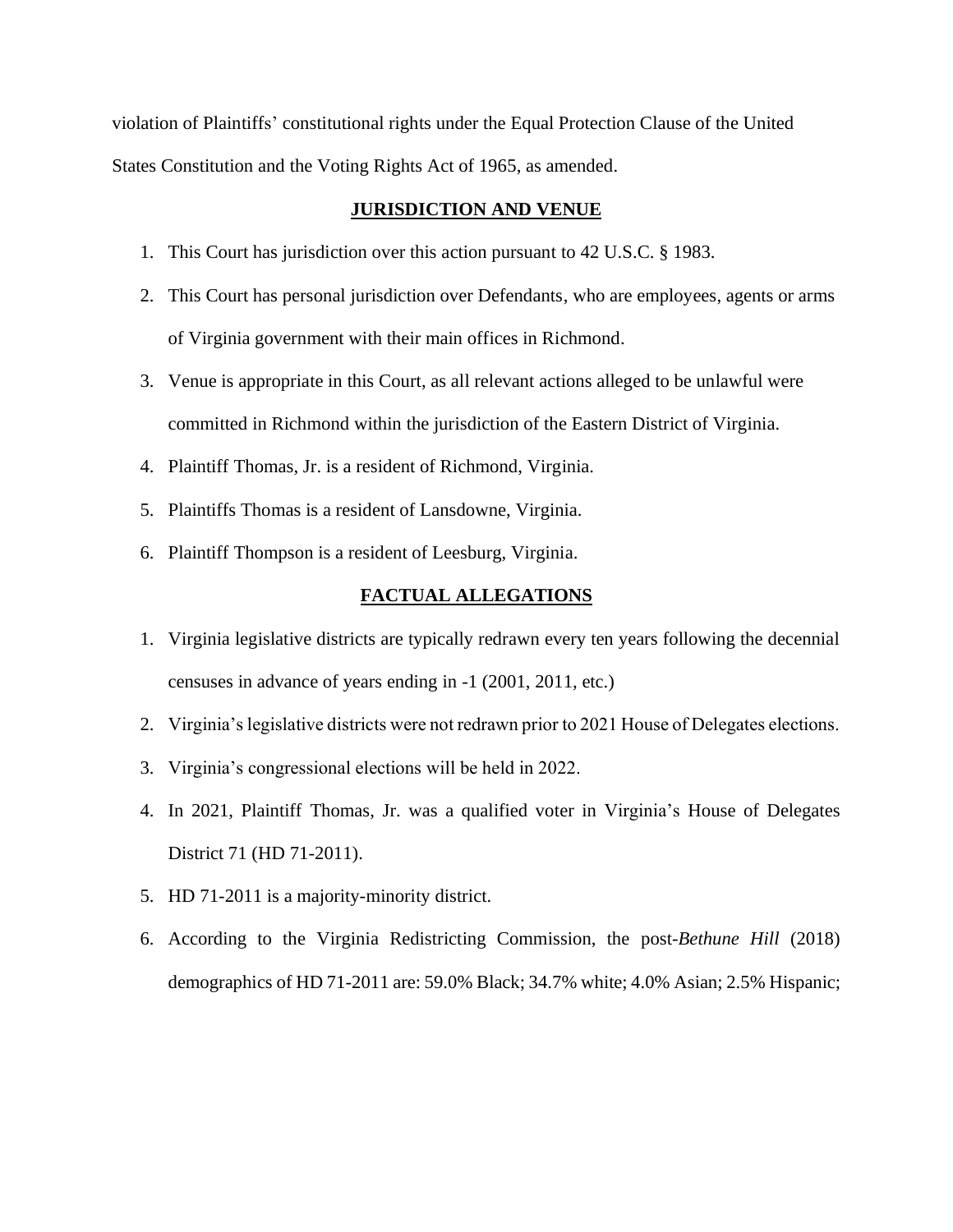violation of Plaintiffs' constitutional rights under the Equal Protection Clause of the United States Constitution and the Voting Rights Act of 1965, as amended.

### **JURISDICTION AND VENUE**

- 1. This Court has jurisdiction over this action pursuant to 42 U.S.C. § 1983.
- 2. This Court has personal jurisdiction over Defendants, who are employees, agents or arms of Virginia government with their main offices in Richmond.
- 3. Venue is appropriate in this Court, as all relevant actions alleged to be unlawful were committed in Richmond within the jurisdiction of the Eastern District of Virginia.
- 4. Plaintiff Thomas, Jr. is a resident of Richmond, Virginia.
- 5. Plaintiffs Thomas is a resident of Lansdowne, Virginia.
- 6. Plaintiff Thompson is a resident of Leesburg, Virginia.

#### **FACTUAL ALLEGATIONS**

- 1. Virginia legislative districts are typically redrawn every ten years following the decennial censuses in advance of years ending in -1 (2001, 2011, etc.)
- 2. Virginia's legislative districts were not redrawn prior to 2021 House of Delegates elections.
- 3. Virginia's congressional elections will be held in 2022.
- 4. In 2021, Plaintiff Thomas, Jr. was a qualified voter in Virginia's House of Delegates District 71 (HD 71-2011).
- 5. HD 71-2011 is a majority-minority district.
- 6. According to the Virginia Redistricting Commission, the post-*Bethune Hill* (2018) demographics of HD 71-2011 are: 59.0% Black; 34.7% white; 4.0% Asian; 2.5% Hispanic;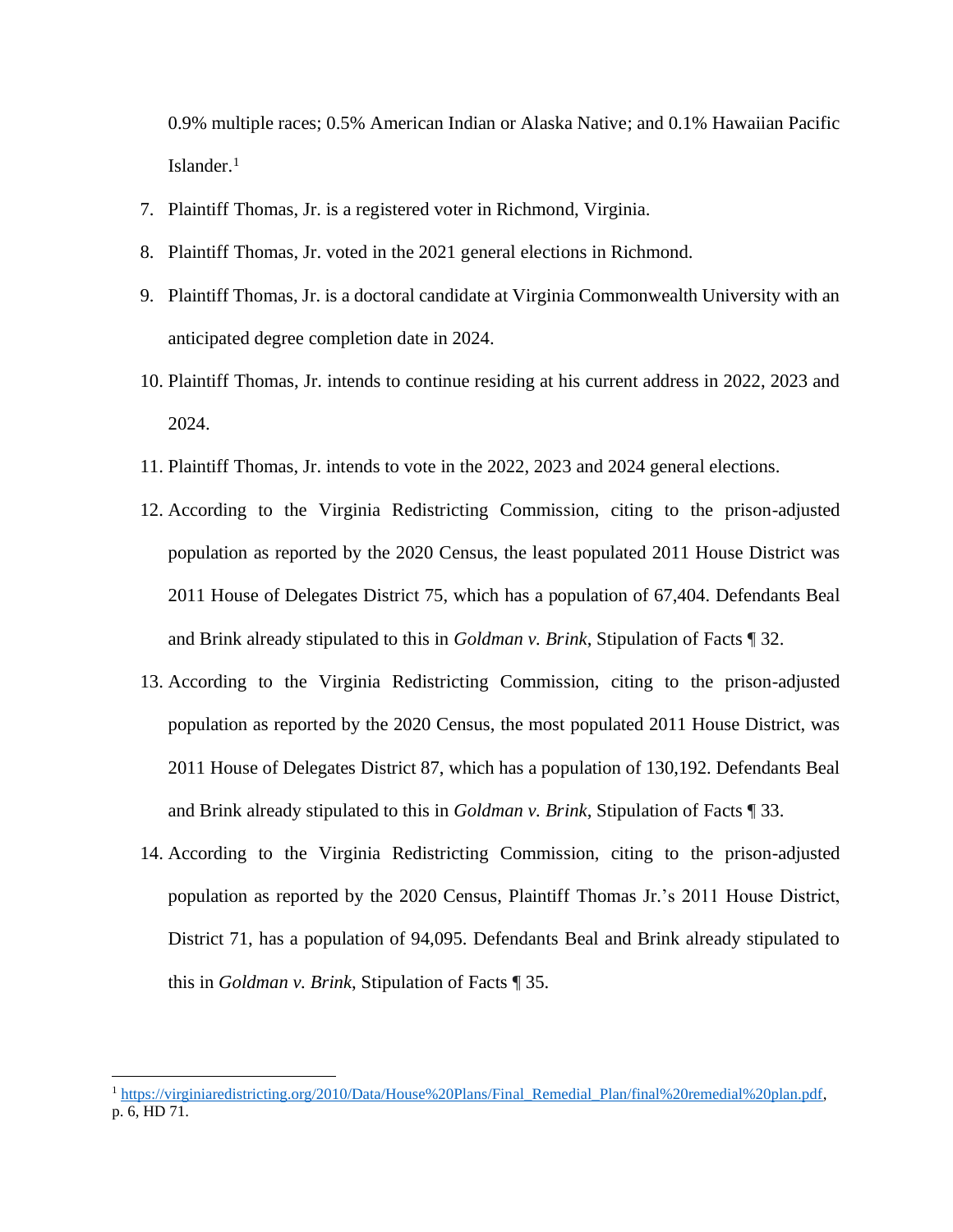0.9% multiple races; 0.5% American Indian or Alaska Native; and 0.1% Hawaiian Pacific Islander.<sup>1</sup>

- 7. Plaintiff Thomas, Jr. is a registered voter in Richmond, Virginia.
- 8. Plaintiff Thomas, Jr. voted in the 2021 general elections in Richmond.
- 9. Plaintiff Thomas, Jr. is a doctoral candidate at Virginia Commonwealth University with an anticipated degree completion date in 2024.
- 10. Plaintiff Thomas, Jr. intends to continue residing at his current address in 2022, 2023 and 2024.
- 11. Plaintiff Thomas, Jr. intends to vote in the 2022, 2023 and 2024 general elections.
- 12. According to the Virginia Redistricting Commission, citing to the prison-adjusted population as reported by the 2020 Census, the least populated 2011 House District was 2011 House of Delegates District 75, which has a population of 67,404. Defendants Beal and Brink already stipulated to this in *Goldman v. Brink*, Stipulation of Facts ¶ 32.
- 13. According to the Virginia Redistricting Commission, citing to the prison-adjusted population as reported by the 2020 Census, the most populated 2011 House District, was 2011 House of Delegates District 87, which has a population of 130,192. Defendants Beal and Brink already stipulated to this in *Goldman v. Brink*, Stipulation of Facts ¶ 33.
- 14. According to the Virginia Redistricting Commission, citing to the prison-adjusted population as reported by the 2020 Census, Plaintiff Thomas Jr.'s 2011 House District, District 71, has a population of 94,095. Defendants Beal and Brink already stipulated to this in *Goldman v. Brink*, Stipulation of Facts ¶ 35.

<sup>&</sup>lt;sup>1</sup> [https://virginiaredistricting.org/2010/Data/House%20Plans/Final\\_Remedial\\_Plan/final%20remedial%20plan.pdf,](https://virginiaredistricting.org/2010/Data/House%20Plans/Final_Remedial_Plan/final%20remedial%20plan.pdf) p. 6, HD 71.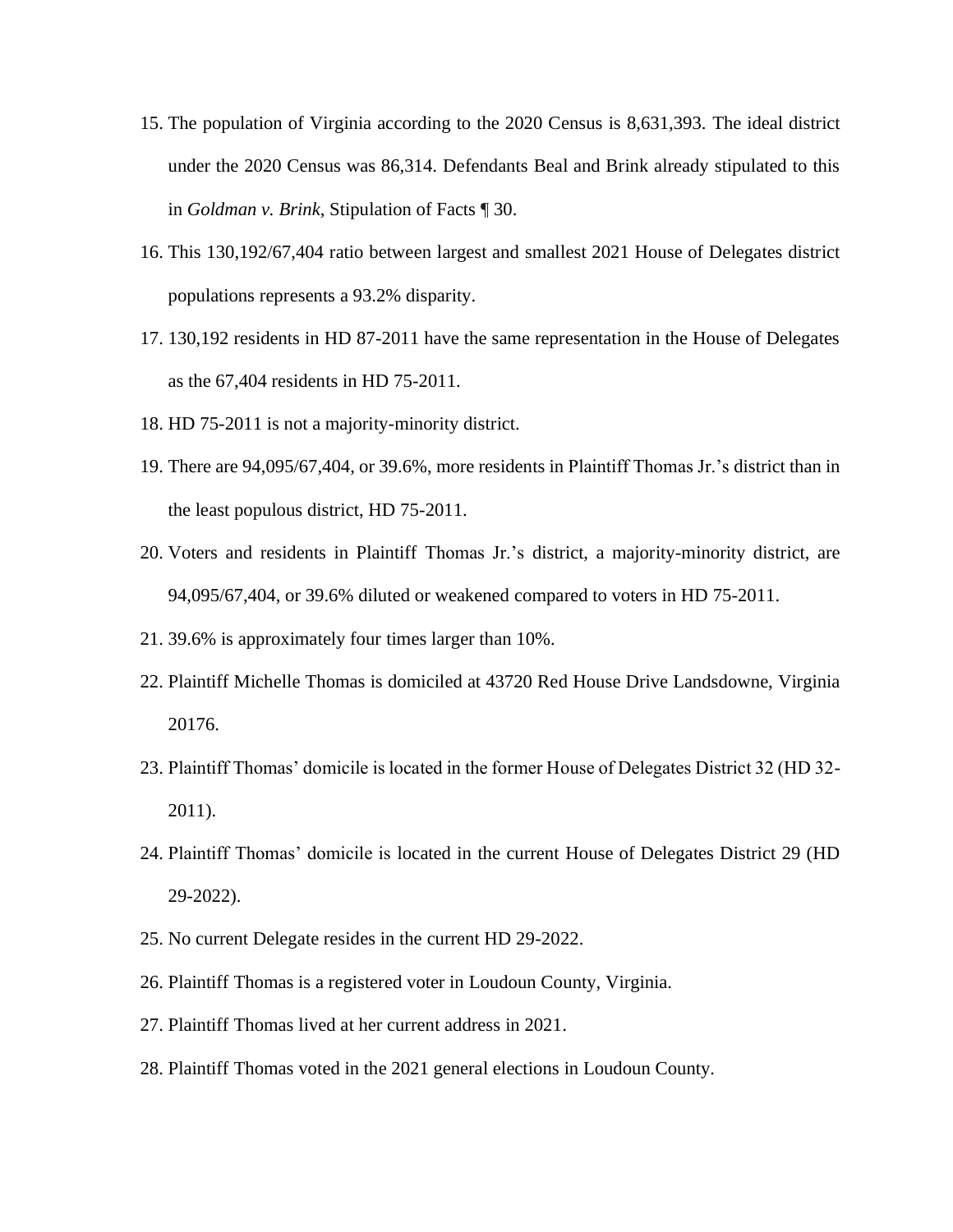- 15. The population of Virginia according to the 2020 Census is 8,631,393. The ideal district under the 2020 Census was 86,314. Defendants Beal and Brink already stipulated to this in *Goldman v. Brink*, Stipulation of Facts ¶ 30.
- 16. This 130,192/67,404 ratio between largest and smallest 2021 House of Delegates district populations represents a 93.2% disparity.
- 17. 130,192 residents in HD 87-2011 have the same representation in the House of Delegates as the 67,404 residents in HD 75-2011.
- 18. HD 75-2011 is not a majority-minority district.
- 19. There are 94,095/67,404, or 39.6%, more residents in Plaintiff Thomas Jr.'s district than in the least populous district, HD 75-2011.
- 20. Voters and residents in Plaintiff Thomas Jr.'s district, a majority-minority district, are 94,095/67,404, or 39.6% diluted or weakened compared to voters in HD 75-2011.
- 21. 39.6% is approximately four times larger than 10%.
- 22. Plaintiff Michelle Thomas is domiciled at 43720 Red House Drive Landsdowne, Virginia 20176.
- 23. Plaintiff Thomas' domicile is located in the former House of Delegates District 32 (HD 32- 2011).
- 24. Plaintiff Thomas' domicile is located in the current House of Delegates District 29 (HD 29-2022).
- 25. No current Delegate resides in the current HD 29-2022.
- 26. Plaintiff Thomas is a registered voter in Loudoun County, Virginia.
- 27. Plaintiff Thomas lived at her current address in 2021.
- 28. Plaintiff Thomas voted in the 2021 general elections in Loudoun County.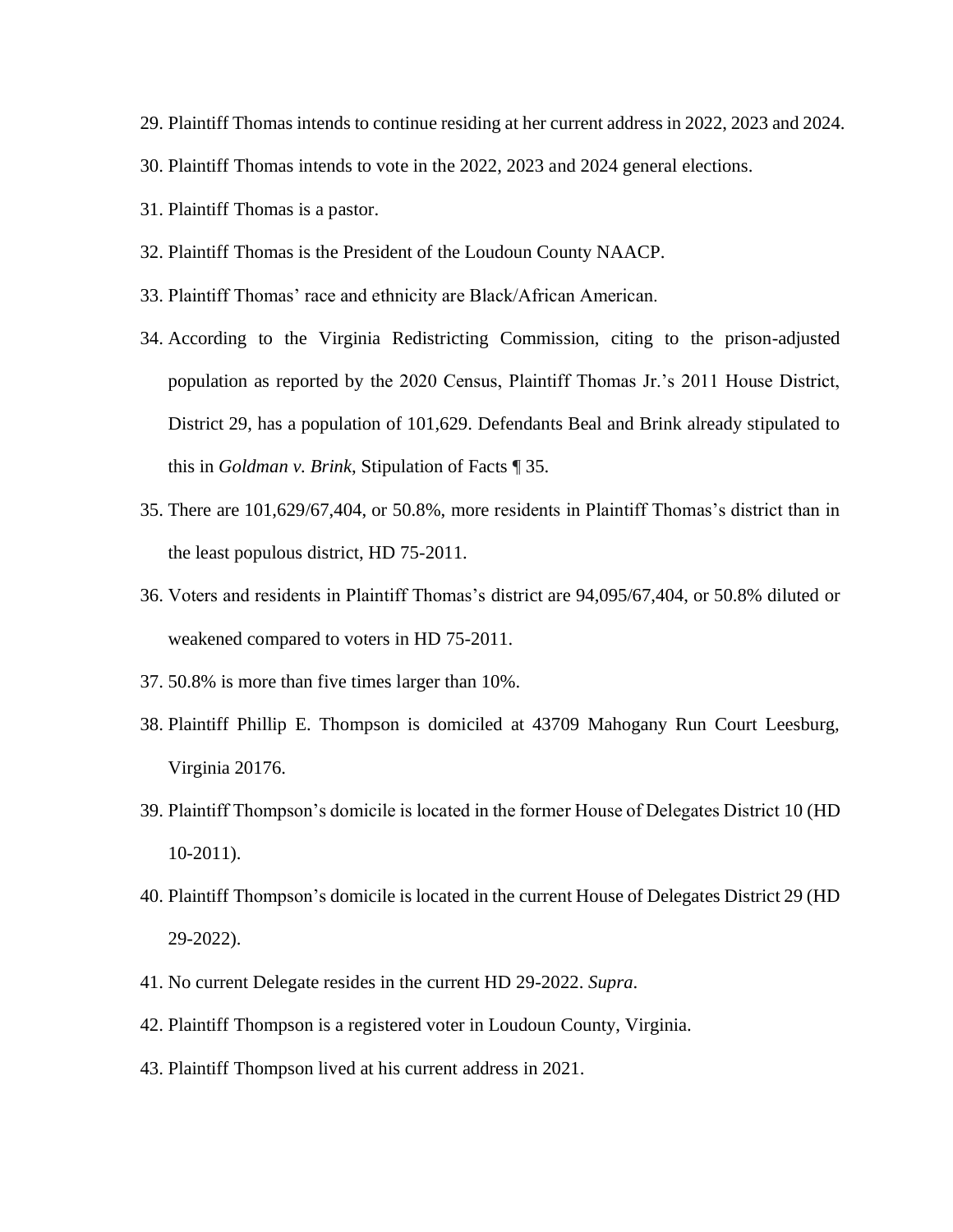- 29. Plaintiff Thomas intends to continue residing at her current address in 2022, 2023 and 2024.
- 30. Plaintiff Thomas intends to vote in the 2022, 2023 and 2024 general elections.
- 31. Plaintiff Thomas is a pastor.
- 32. Plaintiff Thomas is the President of the Loudoun County NAACP.
- 33. Plaintiff Thomas' race and ethnicity are Black/African American.
- 34. According to the Virginia Redistricting Commission, citing to the prison-adjusted population as reported by the 2020 Census, Plaintiff Thomas Jr.'s 2011 House District, District 29, has a population of 101,629. Defendants Beal and Brink already stipulated to this in *Goldman v. Brink*, Stipulation of Facts ¶ 35.
- 35. There are 101,629/67,404, or 50.8%, more residents in Plaintiff Thomas's district than in the least populous district, HD 75-2011.
- 36. Voters and residents in Plaintiff Thomas's district are 94,095/67,404, or 50.8% diluted or weakened compared to voters in HD 75-2011.
- 37. 50.8% is more than five times larger than 10%.
- 38. Plaintiff Phillip E. Thompson is domiciled at 43709 Mahogany Run Court Leesburg, Virginia 20176.
- 39. Plaintiff Thompson's domicile is located in the former House of Delegates District 10 (HD 10-2011).
- 40. Plaintiff Thompson's domicile is located in the current House of Delegates District 29 (HD 29-2022).
- 41. No current Delegate resides in the current HD 29-2022. *Supra*.
- 42. Plaintiff Thompson is a registered voter in Loudoun County, Virginia.
- 43. Plaintiff Thompson lived at his current address in 2021.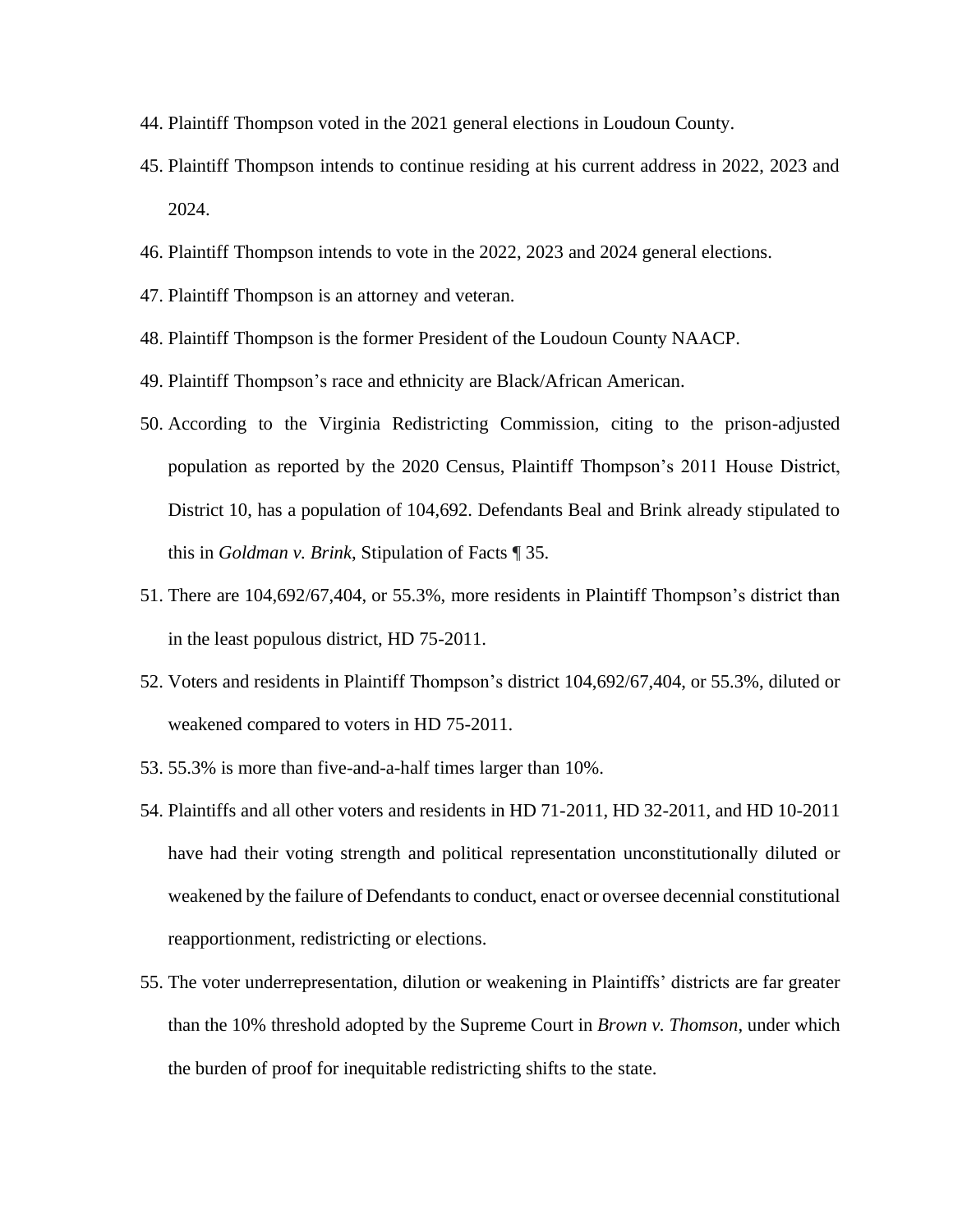- 44. Plaintiff Thompson voted in the 2021 general elections in Loudoun County.
- 45. Plaintiff Thompson intends to continue residing at his current address in 2022, 2023 and 2024.
- 46. Plaintiff Thompson intends to vote in the 2022, 2023 and 2024 general elections.
- 47. Plaintiff Thompson is an attorney and veteran.
- 48. Plaintiff Thompson is the former President of the Loudoun County NAACP.
- 49. Plaintiff Thompson's race and ethnicity are Black/African American.
- 50. According to the Virginia Redistricting Commission, citing to the prison-adjusted population as reported by the 2020 Census, Plaintiff Thompson's 2011 House District, District 10, has a population of 104,692. Defendants Beal and Brink already stipulated to this in *Goldman v. Brink*, Stipulation of Facts ¶ 35.
- 51. There are 104,692/67,404, or 55.3%, more residents in Plaintiff Thompson's district than in the least populous district, HD 75-2011.
- 52. Voters and residents in Plaintiff Thompson's district 104,692/67,404, or 55.3%, diluted or weakened compared to voters in HD 75-2011.
- 53. 55.3% is more than five-and-a-half times larger than 10%.
- 54. Plaintiffs and all other voters and residents in HD 71-2011, HD 32-2011, and HD 10-2011 have had their voting strength and political representation unconstitutionally diluted or weakened by the failure of Defendants to conduct, enact or oversee decennial constitutional reapportionment, redistricting or elections.
- 55. The voter underrepresentation, dilution or weakening in Plaintiffs' districts are far greater than the 10% threshold adopted by the Supreme Court in *Brown v. Thomson*, under which the burden of proof for inequitable redistricting shifts to the state.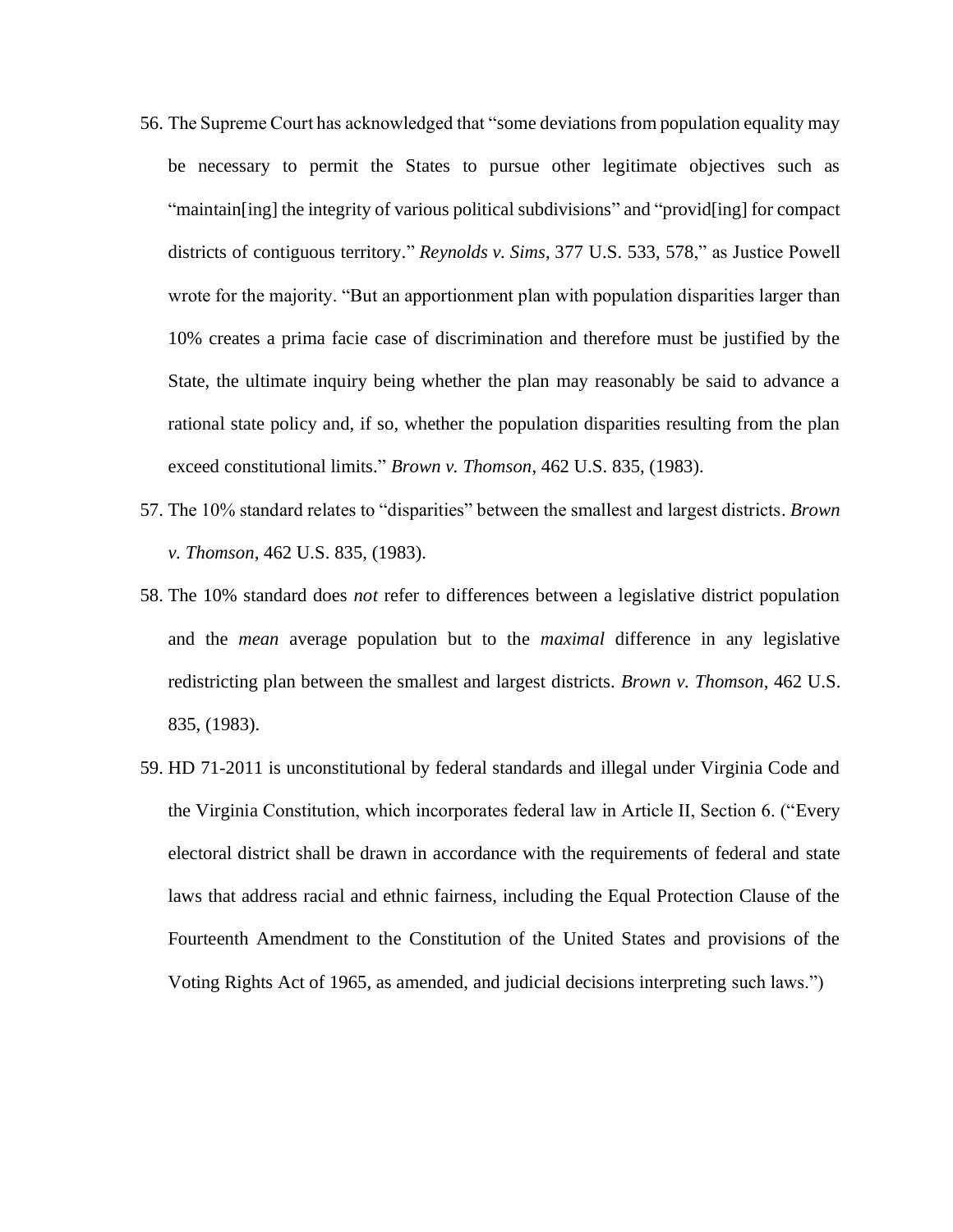- 56. The Supreme Court has acknowledged that "some deviations from population equality may be necessary to permit the States to pursue other legitimate objectives such as "maintain[ing] the integrity of various political subdivisions" and "provid[ing] for compact districts of contiguous territory." *Reynolds v. Sims*, [377 U.S. 533, 578,](https://casetext.com/case/reynolds-v-sims#p578)" as Justice Powell wrote for the majority. "But an apportionment plan with population disparities larger than 10% creates a prima facie case of discrimination and therefore must be justified by the State, the ultimate inquiry being whether the plan may reasonably be said to advance a rational state policy and, if so, whether the population disparities resulting from the plan exceed constitutional limits." *Brown v. Thomson*, 462 U.S. 835, (1983).
- 57. The 10% standard relates to "disparities" between the smallest and largest districts. *Brown v. Thomson*, 462 U.S. 835, (1983).
- 58. The 10% standard does *not* refer to differences between a legislative district population and the *mean* average population but to the *maximal* difference in any legislative redistricting plan between the smallest and largest districts. *Brown v. Thomson*, 462 U.S. 835, (1983).
- 59. HD 71-2011 is unconstitutional by federal standards and illegal under Virginia Code and the Virginia Constitution, which incorporates federal law in Article II, Section 6. ("Every electoral district shall be drawn in accordance with the requirements of federal and state laws that address racial and ethnic fairness, including the Equal Protection Clause of the Fourteenth Amendment to the Constitution of the United States and provisions of the Voting Rights Act of 1965, as amended, and judicial decisions interpreting such laws.")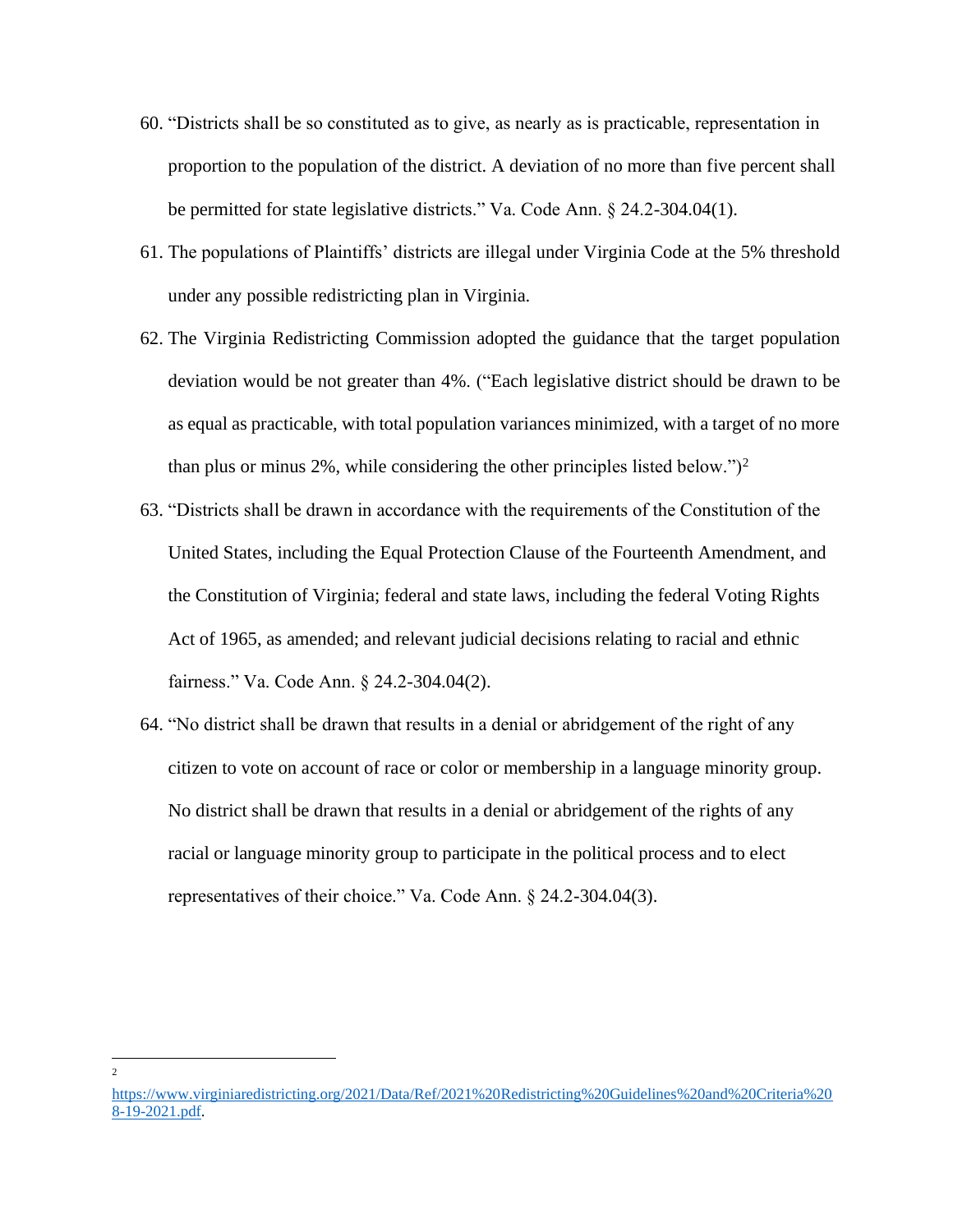- 60. "Districts shall be so constituted as to give, as nearly as is practicable, representation in proportion to the population of the district. A deviation of no more than five percent shall be permitted for state legislative districts." Va. Code Ann. § 24.2-304.04(1).
- 61. The populations of Plaintiffs' districts are illegal under Virginia Code at the 5% threshold under any possible redistricting plan in Virginia.
- 62. The Virginia Redistricting Commission adopted the guidance that the target population deviation would be not greater than 4%. ("Each legislative district should be drawn to be as equal as practicable, with total population variances minimized, with a target of no more than plus or minus 2%, while considering the other principles listed below." $)^2$
- 63. "Districts shall be drawn in accordance with the requirements of the Constitution of the United States, including the Equal Protection Clause of the Fourteenth Amendment, and the Constitution of Virginia; federal and state laws, including the federal Voting Rights Act of 1965, as amended; and relevant judicial decisions relating to racial and ethnic fairness." Va. Code Ann. § 24.2-304.04(2).
- 64. "No district shall be drawn that results in a denial or abridgement of the right of any citizen to vote on account of race or color or membership in a language minority group. No district shall be drawn that results in a denial or abridgement of the rights of any racial or language minority group to participate in the political process and to elect representatives of their choice." Va. Code Ann. § 24.2-304.04(3).

<sup>2</sup>

[https://www.virginiaredistricting.org/2021/Data/Ref/2021%20Redistricting%20Guidelines%20and%20Criteria%20](https://www.virginiaredistricting.org/2021/Data/Ref/2021%20Redistricting%20Guidelines%20and%20Criteria%208-19-2021.pdf) [8-19-2021.pdf.](https://www.virginiaredistricting.org/2021/Data/Ref/2021%20Redistricting%20Guidelines%20and%20Criteria%208-19-2021.pdf)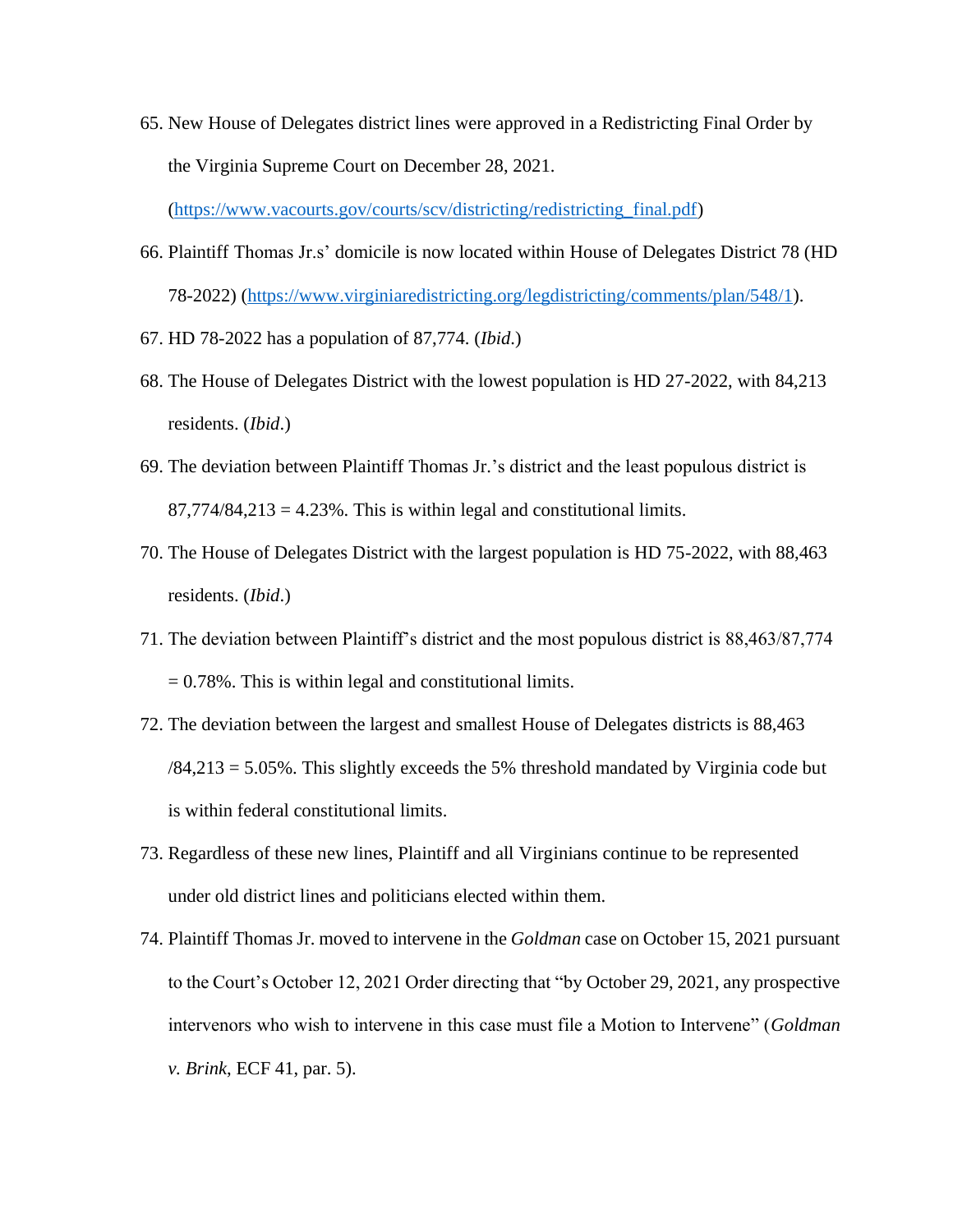65. New House of Delegates district lines were approved in a Redistricting Final Order by the Virginia Supreme Court on December 28, 2021.

[\(https://www.vacourts.gov/courts/scv/districting/redistricting\\_final.pdf\)](https://www.vacourts.gov/courts/scv/districting/redistricting_final.pdf)

- 66. Plaintiff Thomas Jr.s' domicile is now located within House of Delegates District 78 (HD 78-2022) [\(https://www.virginiaredistricting.org/legdistricting/comments/plan/548/1\)](https://www.virginiaredistricting.org/legdistricting/comments/plan/548/1).
- 67. HD 78-2022 has a population of 87,774. (*Ibid*.)
- 68. The House of Delegates District with the lowest population is HD 27-2022, with 84,213 residents. (*Ibid*.)
- 69. The deviation between Plaintiff Thomas Jr.'s district and the least populous district is  $87,774/84,213 = 4.23\%$ . This is within legal and constitutional limits.
- 70. The House of Delegates District with the largest population is HD 75-2022, with 88,463 residents. (*Ibid*.)
- 71. The deviation between Plaintiff's district and the most populous district is 88,463/87,774 = 0.78%. This is within legal and constitutional limits.
- 72. The deviation between the largest and smallest House of Delegates districts is 88,463  $/84,213 = 5.05\%$ . This slightly exceeds the 5% threshold mandated by Virginia code but is within federal constitutional limits.
- 73. Regardless of these new lines, Plaintiff and all Virginians continue to be represented under old district lines and politicians elected within them.
- 74. Plaintiff Thomas Jr. moved to intervene in the *Goldman* case on October 15, 2021 pursuant to the Court's October 12, 2021 Order directing that "by October 29, 2021, any prospective intervenors who wish to intervene in this case must file a Motion to Intervene" (*Goldman v. Brink*, ECF 41, par. 5).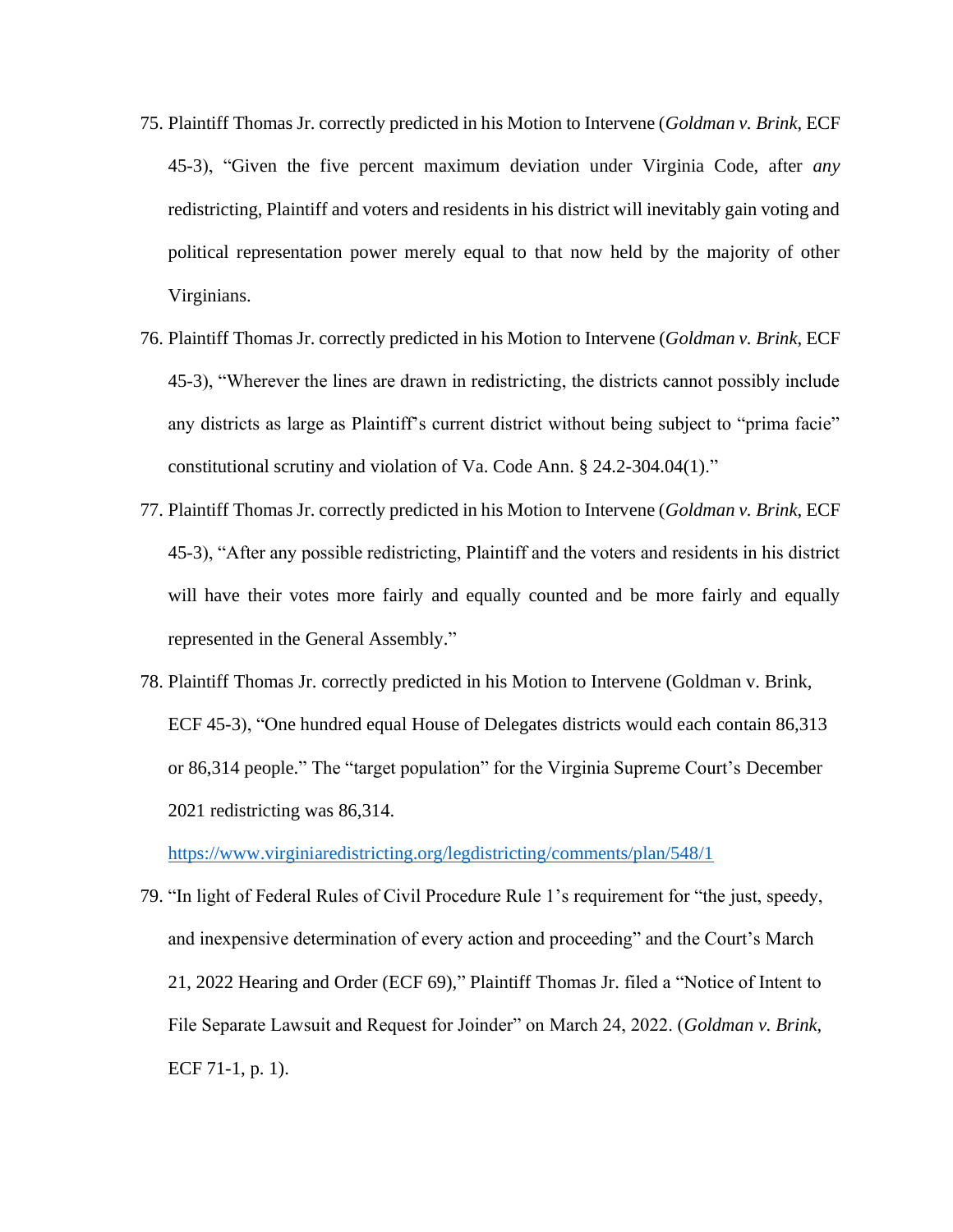- 75. Plaintiff Thomas Jr. correctly predicted in his Motion to Intervene (*Goldman v. Brink*, ECF 45-3), "Given the five percent maximum deviation under Virginia Code, after *any* redistricting, Plaintiff and voters and residents in his district will inevitably gain voting and political representation power merely equal to that now held by the majority of other Virginians.
- 76. Plaintiff Thomas Jr. correctly predicted in his Motion to Intervene (*Goldman v. Brink*, ECF 45-3), "Wherever the lines are drawn in redistricting, the districts cannot possibly include any districts as large as Plaintiff's current district without being subject to "prima facie" constitutional scrutiny and violation of Va. Code Ann. § 24.2-304.04(1)."
- 77. Plaintiff Thomas Jr. correctly predicted in his Motion to Intervene (*Goldman v. Brink*, ECF 45-3), "After any possible redistricting, Plaintiff and the voters and residents in his district will have their votes more fairly and equally counted and be more fairly and equally represented in the General Assembly."
- 78. Plaintiff Thomas Jr. correctly predicted in his Motion to Intervene (Goldman v. Brink, ECF 45-3), "One hundred equal House of Delegates districts would each contain 86,313 or 86,314 people." The "target population" for the Virginia Supreme Court's December 2021 redistricting was 86,314.

<https://www.virginiaredistricting.org/legdistricting/comments/plan/548/1>

79. "In light of Federal Rules of Civil Procedure Rule 1's requirement for "the just, speedy, and inexpensive determination of every action and proceeding" and the Court's March 21, 2022 Hearing and Order (ECF 69)," Plaintiff Thomas Jr. filed a "Notice of Intent to File Separate Lawsuit and Request for Joinder" on March 24, 2022. (*Goldman v. Brink*, ECF 71-1, p. 1).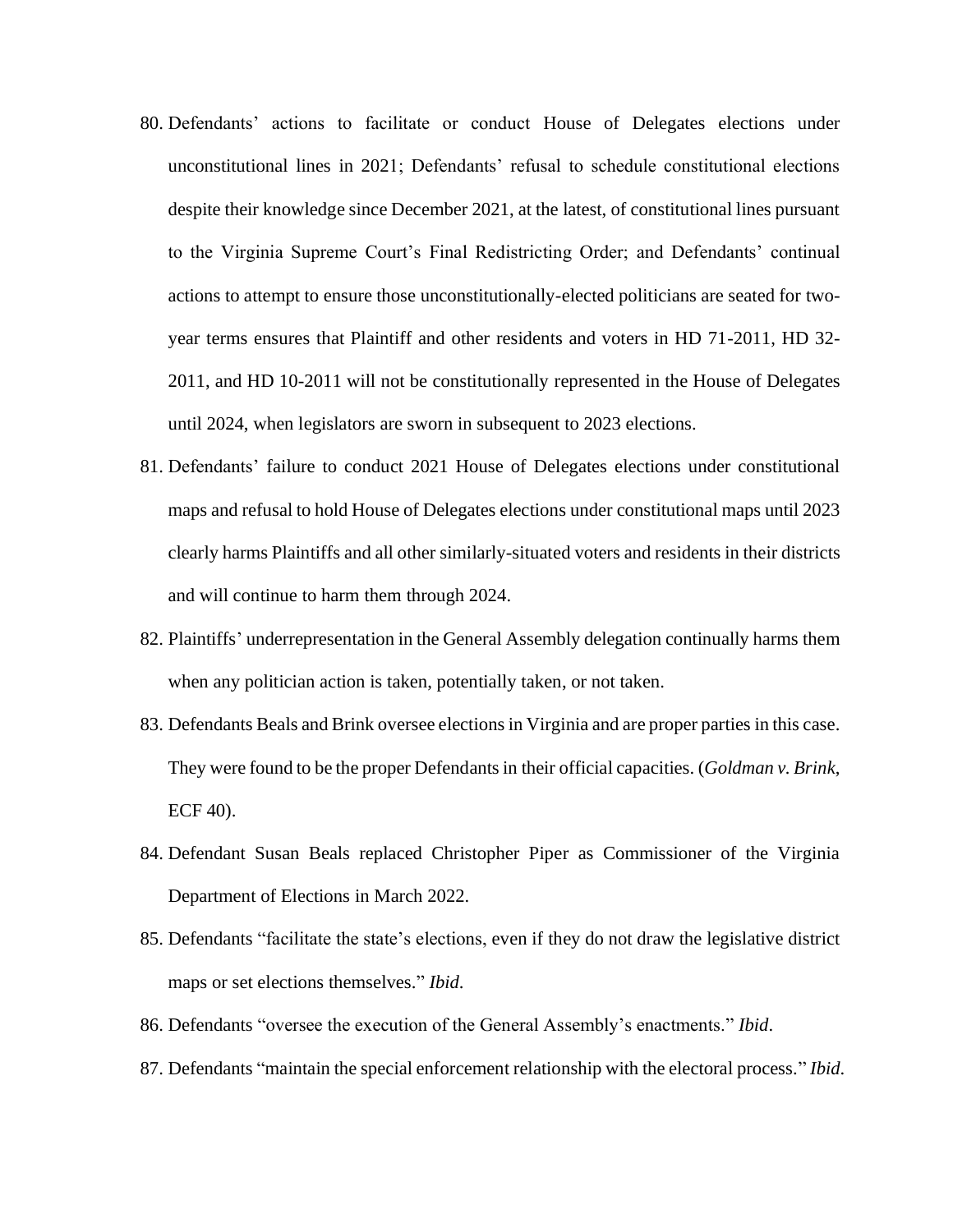- 80. Defendants' actions to facilitate or conduct House of Delegates elections under unconstitutional lines in 2021; Defendants' refusal to schedule constitutional elections despite their knowledge since December 2021, at the latest, of constitutional lines pursuant to the Virginia Supreme Court's Final Redistricting Order; and Defendants' continual actions to attempt to ensure those unconstitutionally-elected politicians are seated for twoyear terms ensures that Plaintiff and other residents and voters in HD 71-2011, HD 32- 2011, and HD 10-2011 will not be constitutionally represented in the House of Delegates until 2024, when legislators are sworn in subsequent to 2023 elections.
- 81. Defendants' failure to conduct 2021 House of Delegates elections under constitutional maps and refusal to hold House of Delegates elections under constitutional maps until 2023 clearly harms Plaintiffs and all other similarly-situated voters and residents in their districts and will continue to harm them through 2024.
- 82. Plaintiffs' underrepresentation in the General Assembly delegation continually harms them when any politician action is taken, potentially taken, or not taken.
- 83. Defendants Beals and Brink oversee elections in Virginia and are proper parties in this case. They were found to be the proper Defendants in their official capacities. (*Goldman v. Brink*, ECF 40).
- 84. Defendant Susan Beals replaced Christopher Piper as Commissioner of the Virginia Department of Elections in March 2022.
- 85. Defendants "facilitate the state's elections, even if they do not draw the legislative district maps or set elections themselves." *Ibid*.
- 86. Defendants "oversee the execution of the General Assembly's enactments." *Ibid*.
- 87. Defendants "maintain the special enforcement relationship with the electoral process." *Ibid*.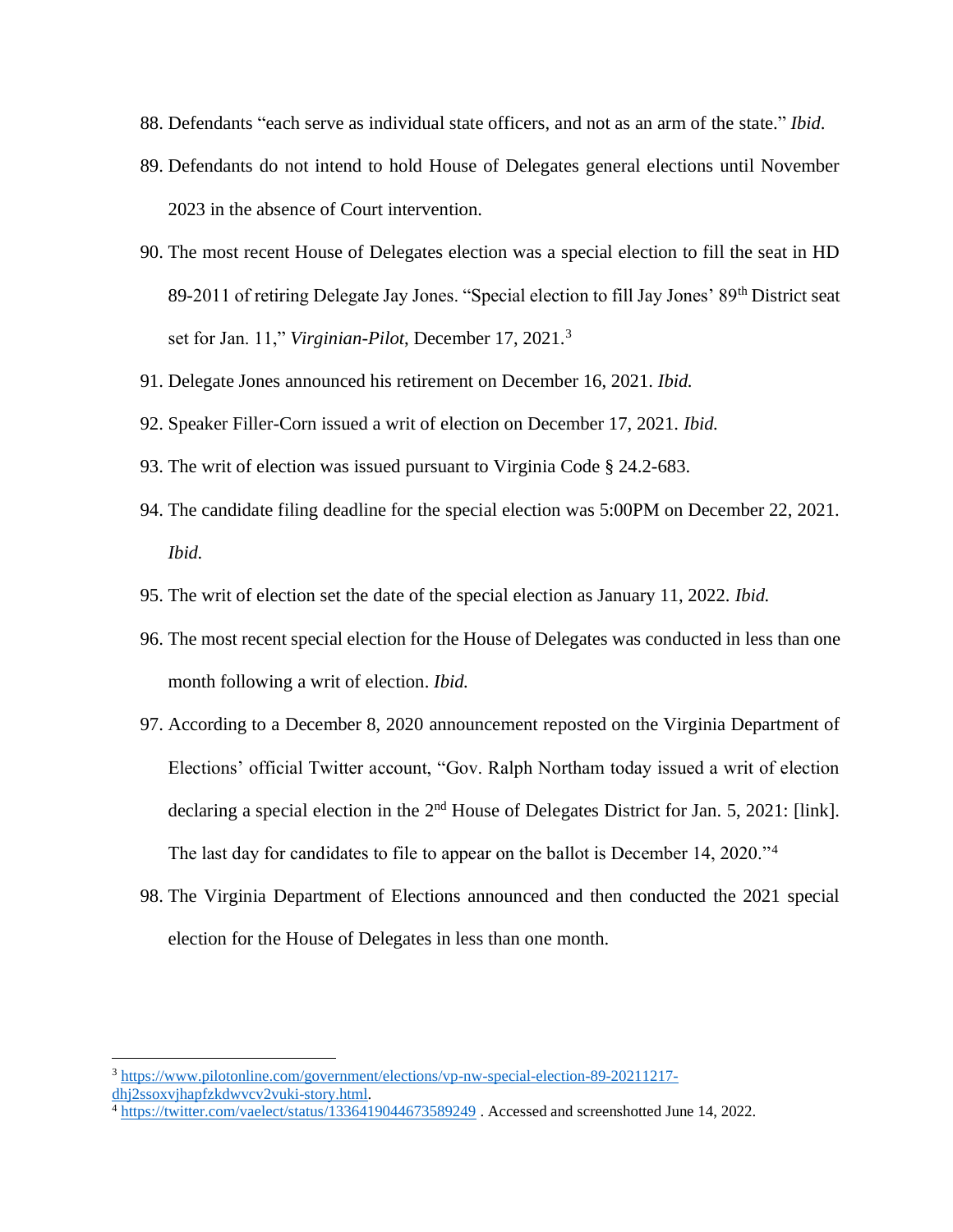- 88. Defendants "each serve as individual state officers, and not as an arm of the state." *Ibid*.
- 89. Defendants do not intend to hold House of Delegates general elections until November 2023 in the absence of Court intervention.
- 90. The most recent House of Delegates election was a special election to fill the seat in HD 89-2011 of retiring Delegate Jay Jones. "Special election to fill Jay Jones' 89<sup>th</sup> District seat set for Jan. 11," *Virginian-Pilot*, December 17, 2021.<sup>3</sup>
- 91. Delegate Jones announced his retirement on December 16, 2021. *Ibid.*
- 92. Speaker Filler-Corn issued a writ of election on December 17, 2021. *Ibid.*
- 93. The writ of election was issued pursuant to Virginia Code § 24.2-683.
- 94. The candidate filing deadline for the special election was 5:00PM on December 22, 2021. *Ibid.*
- 95. The writ of election set the date of the special election as January 11, 2022. *Ibid.*
- 96. The most recent special election for the House of Delegates was conducted in less than one month following a writ of election. *Ibid.*
- 97. According to a December 8, 2020 announcement reposted on the Virginia Department of Elections' official Twitter account, "Gov. Ralph Northam today issued a writ of election declaring a special election in the 2<sup>nd</sup> House of Delegates District for Jan. 5, 2021: [link]. The last day for candidates to file to appear on the ballot is December 14, 2020."<sup>4</sup>
- 98. The Virginia Department of Elections announced and then conducted the 2021 special election for the House of Delegates in less than one month.

<sup>3</sup> [https://www.pilotonline.com/government/elections/vp-nw-special-election-89-20211217](https://www.pilotonline.com/government/elections/vp-nw-special-election-89-20211217-dhj2ssoxvjhapfzkdwvcv2vuki-story.html) [dhj2ssoxvjhapfzkdwvcv2vuki-story.html.](https://www.pilotonline.com/government/elections/vp-nw-special-election-89-20211217-dhj2ssoxvjhapfzkdwvcv2vuki-story.html)

<sup>4</sup> <https://twitter.com/vaelect/status/1336419044673589249> . Accessed and screenshotted June 14, 2022.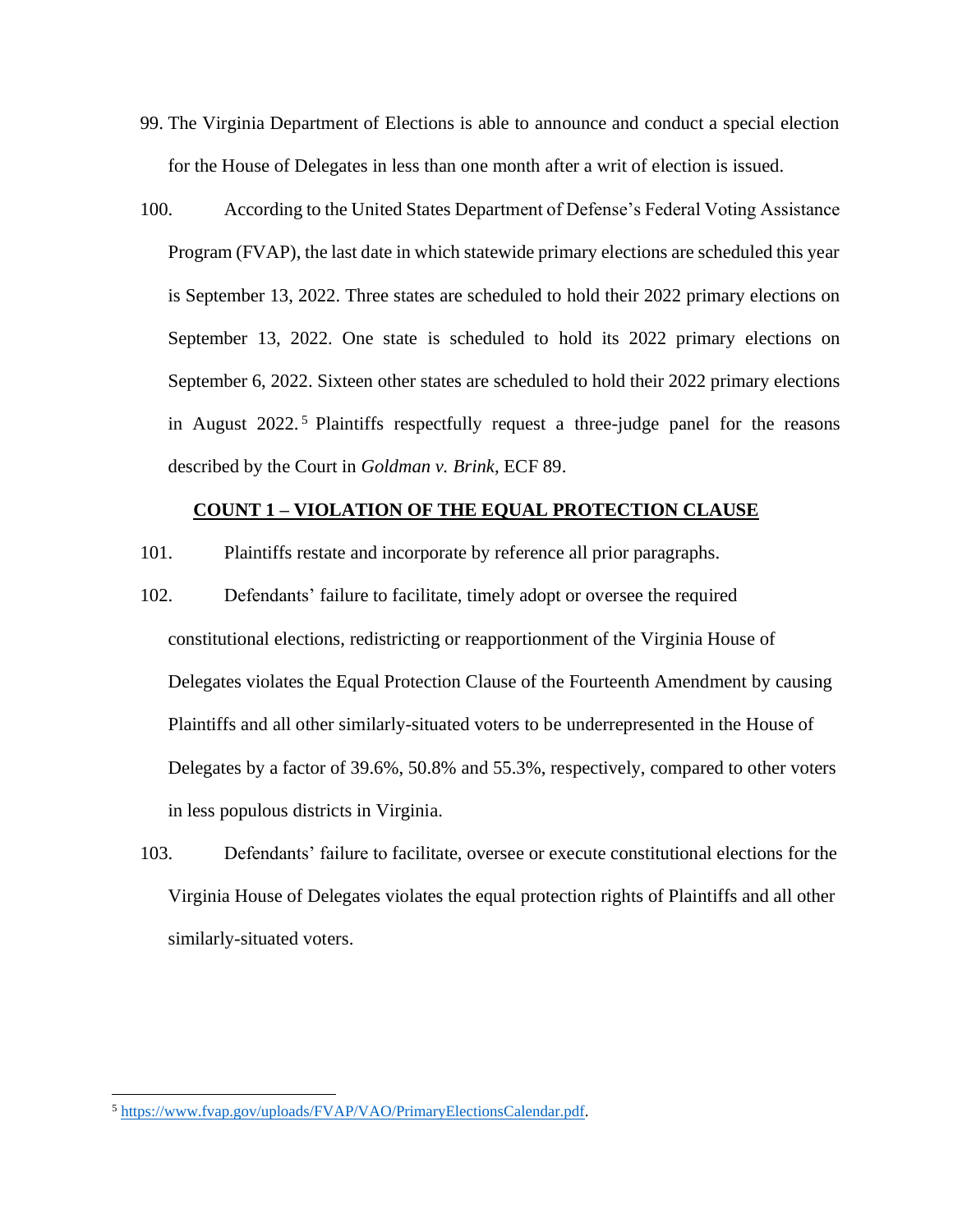- 99. The Virginia Department of Elections is able to announce and conduct a special election for the House of Delegates in less than one month after a writ of election is issued.
- 100. According to the United States Department of Defense's Federal Voting Assistance Program (FVAP), the last date in which statewide primary elections are scheduled this year is September 13, 2022. Three states are scheduled to hold their 2022 primary elections on September 13, 2022. One state is scheduled to hold its 2022 primary elections on September 6, 2022. Sixteen other states are scheduled to hold their 2022 primary elections in August 2022. <sup>5</sup> Plaintiffs respectfully request a three-judge panel for the reasons described by the Court in *Goldman v. Brink*, ECF 89.

#### **COUNT 1 – VIOLATION OF THE EQUAL PROTECTION CLAUSE**

- 101. Plaintiffs restate and incorporate by reference all prior paragraphs.
- 102. Defendants' failure to facilitate, timely adopt or oversee the required constitutional elections, redistricting or reapportionment of the Virginia House of Delegates violates the Equal Protection Clause of the Fourteenth Amendment by causing Plaintiffs and all other similarly-situated voters to be underrepresented in the House of Delegates by a factor of 39.6%, 50.8% and 55.3%, respectively, compared to other voters in less populous districts in Virginia.
- 103. Defendants' failure to facilitate, oversee or execute constitutional elections for the Virginia House of Delegates violates the equal protection rights of Plaintiffs and all other similarly-situated voters.

<sup>5</sup> [https://www.fvap.gov/uploads/FVAP/VAO/PrimaryElectionsCalendar.pdf.](https://www.fvap.gov/uploads/FVAP/VAO/PrimaryElectionsCalendar.pdf)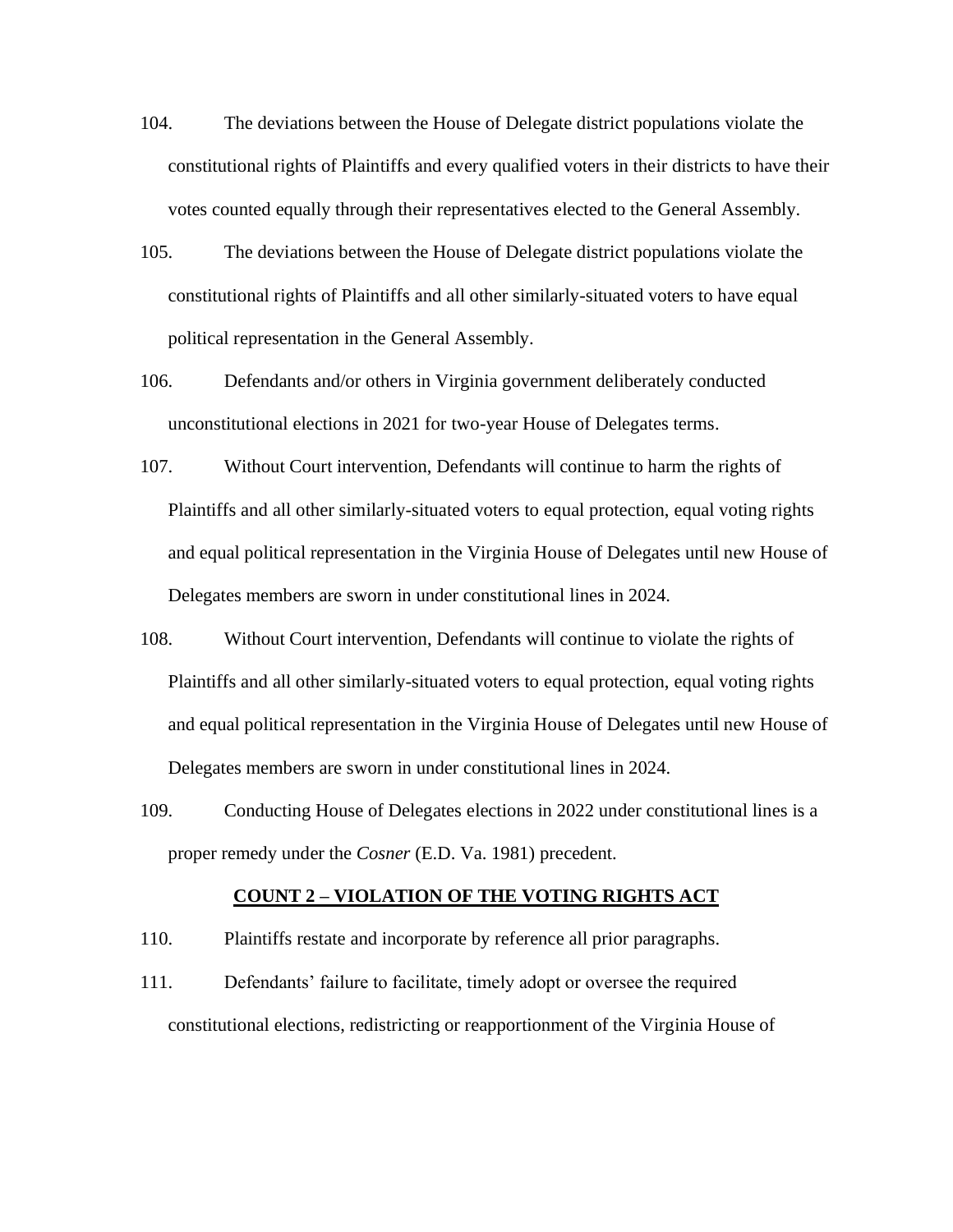- 104. The deviations between the House of Delegate district populations violate the constitutional rights of Plaintiffs and every qualified voters in their districts to have their votes counted equally through their representatives elected to the General Assembly.
- 105. The deviations between the House of Delegate district populations violate the constitutional rights of Plaintiffs and all other similarly-situated voters to have equal political representation in the General Assembly.
- 106. Defendants and/or others in Virginia government deliberately conducted unconstitutional elections in 2021 for two-year House of Delegates terms.
- 107. Without Court intervention, Defendants will continue to harm the rights of Plaintiffs and all other similarly-situated voters to equal protection, equal voting rights and equal political representation in the Virginia House of Delegates until new House of Delegates members are sworn in under constitutional lines in 2024.
- 108. Without Court intervention, Defendants will continue to violate the rights of Plaintiffs and all other similarly-situated voters to equal protection, equal voting rights and equal political representation in the Virginia House of Delegates until new House of Delegates members are sworn in under constitutional lines in 2024.
- 109. Conducting House of Delegates elections in 2022 under constitutional lines is a proper remedy under the *Cosner* (E.D. Va. 1981) precedent.

#### **COUNT 2 – VIOLATION OF THE VOTING RIGHTS ACT**

- 110. Plaintiffs restate and incorporate by reference all prior paragraphs.
- 111. Defendants' failure to facilitate, timely adopt or oversee the required constitutional elections, redistricting or reapportionment of the Virginia House of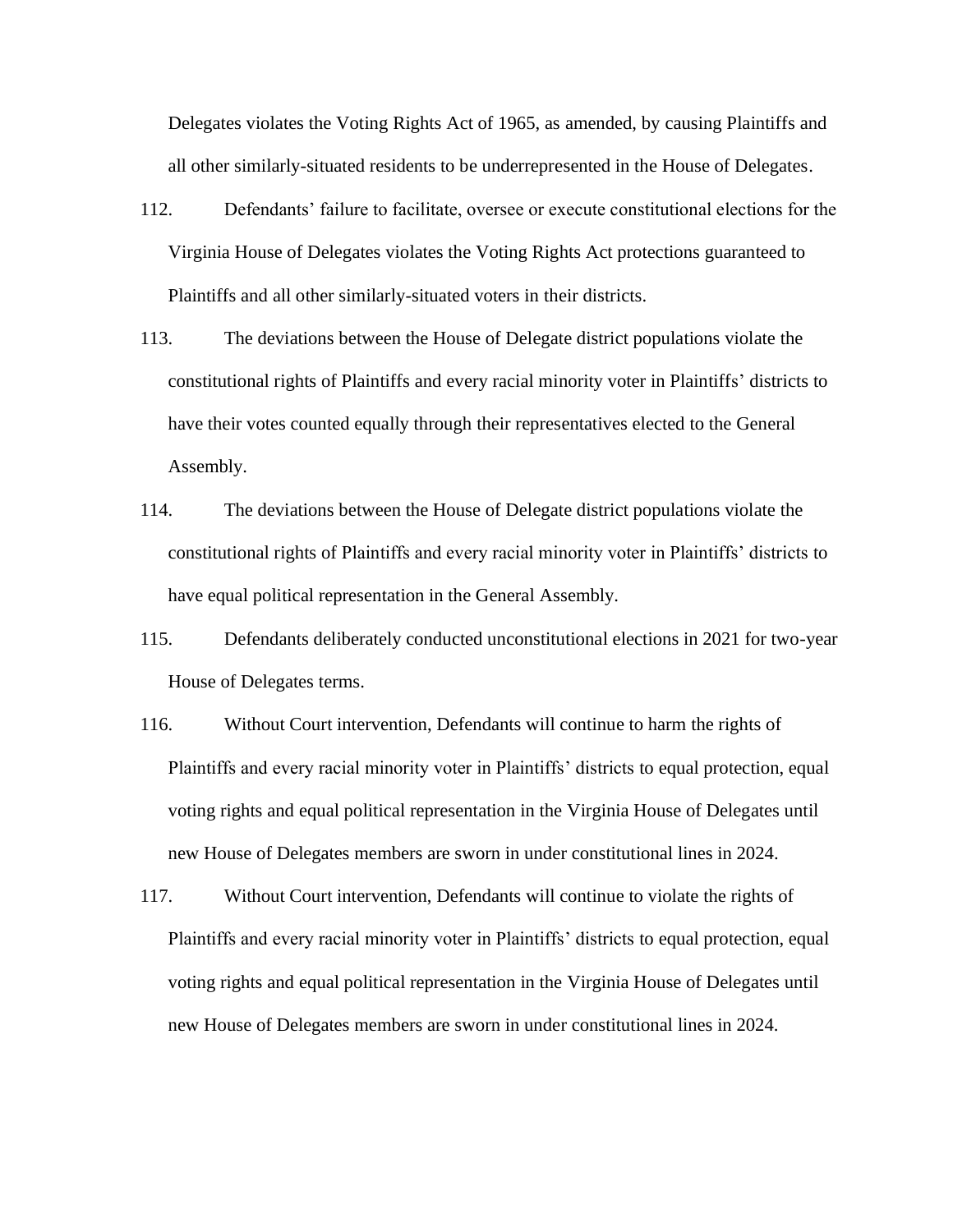Delegates violates the Voting Rights Act of 1965, as amended, by causing Plaintiffs and all other similarly-situated residents to be underrepresented in the House of Delegates.

- 112. Defendants' failure to facilitate, oversee or execute constitutional elections for the Virginia House of Delegates violates the Voting Rights Act protections guaranteed to Plaintiffs and all other similarly-situated voters in their districts.
- 113. The deviations between the House of Delegate district populations violate the constitutional rights of Plaintiffs and every racial minority voter in Plaintiffs' districts to have their votes counted equally through their representatives elected to the General Assembly.
- 114. The deviations between the House of Delegate district populations violate the constitutional rights of Plaintiffs and every racial minority voter in Plaintiffs' districts to have equal political representation in the General Assembly.
- 115. Defendants deliberately conducted unconstitutional elections in 2021 for two-year House of Delegates terms.
- 116. Without Court intervention, Defendants will continue to harm the rights of Plaintiffs and every racial minority voter in Plaintiffs' districts to equal protection, equal voting rights and equal political representation in the Virginia House of Delegates until new House of Delegates members are sworn in under constitutional lines in 2024.
- 117. Without Court intervention, Defendants will continue to violate the rights of Plaintiffs and every racial minority voter in Plaintiffs' districts to equal protection, equal voting rights and equal political representation in the Virginia House of Delegates until new House of Delegates members are sworn in under constitutional lines in 2024.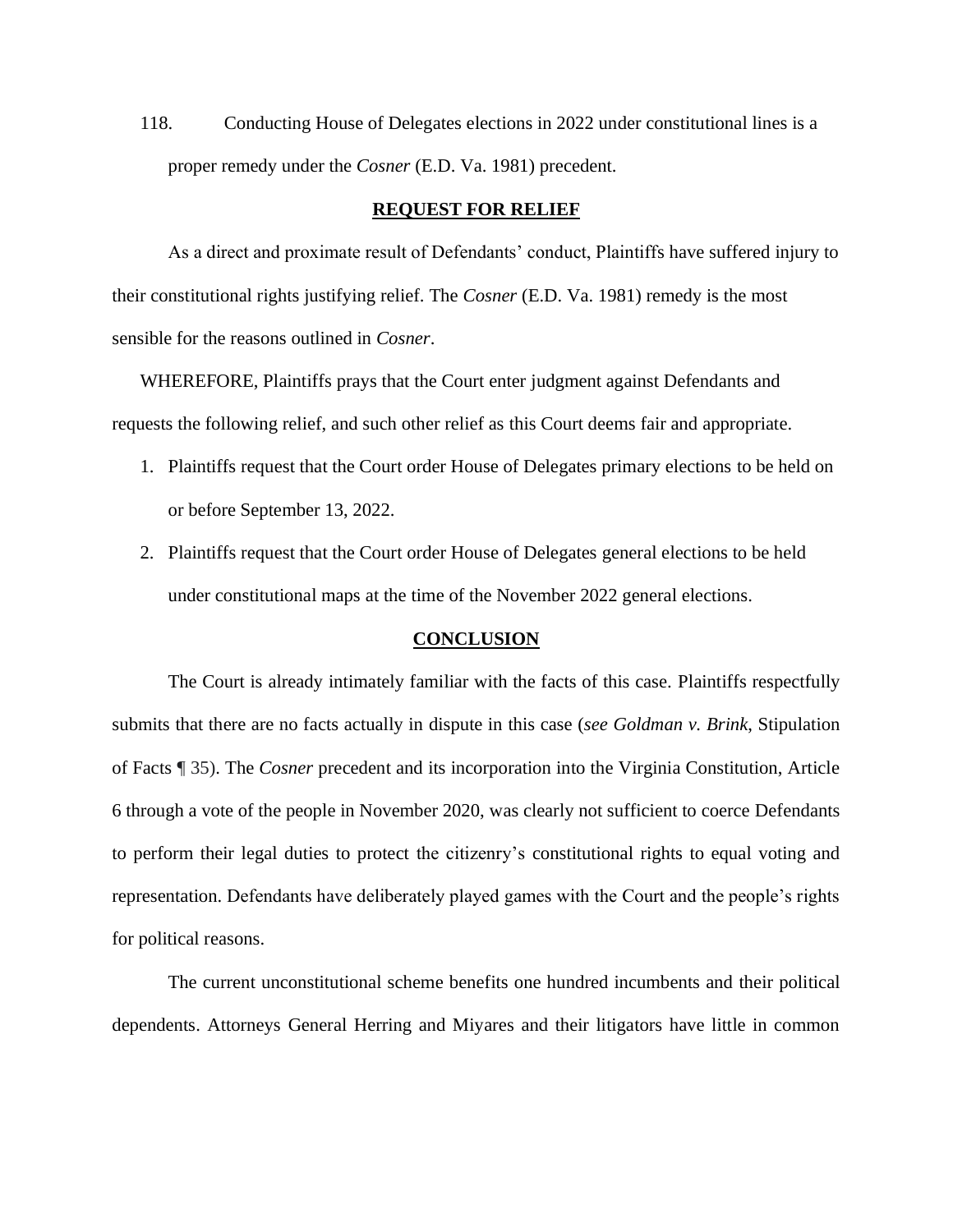118. Conducting House of Delegates elections in 2022 under constitutional lines is a proper remedy under the *Cosner* (E.D. Va. 1981) precedent.

#### **REQUEST FOR RELIEF**

As a direct and proximate result of Defendants' conduct, Plaintiffs have suffered injury to their constitutional rights justifying relief. The *Cosner* (E.D. Va. 1981) remedy is the most sensible for the reasons outlined in *Cosner*.

WHEREFORE, Plaintiffs prays that the Court enter judgment against Defendants and requests the following relief, and such other relief as this Court deems fair and appropriate.

- 1. Plaintiffs request that the Court order House of Delegates primary elections to be held on or before September 13, 2022.
- 2. Plaintiffs request that the Court order House of Delegates general elections to be held under constitutional maps at the time of the November 2022 general elections.

#### **CONCLUSION**

The Court is already intimately familiar with the facts of this case. Plaintiffs respectfully submits that there are no facts actually in dispute in this case (*see Goldman v. Brink*, Stipulation of Facts ¶ 35). The *Cosner* precedent and its incorporation into the Virginia Constitution, Article 6 through a vote of the people in November 2020, was clearly not sufficient to coerce Defendants to perform their legal duties to protect the citizenry's constitutional rights to equal voting and representation. Defendants have deliberately played games with the Court and the people's rights for political reasons.

The current unconstitutional scheme benefits one hundred incumbents and their political dependents. Attorneys General Herring and Miyares and their litigators have little in common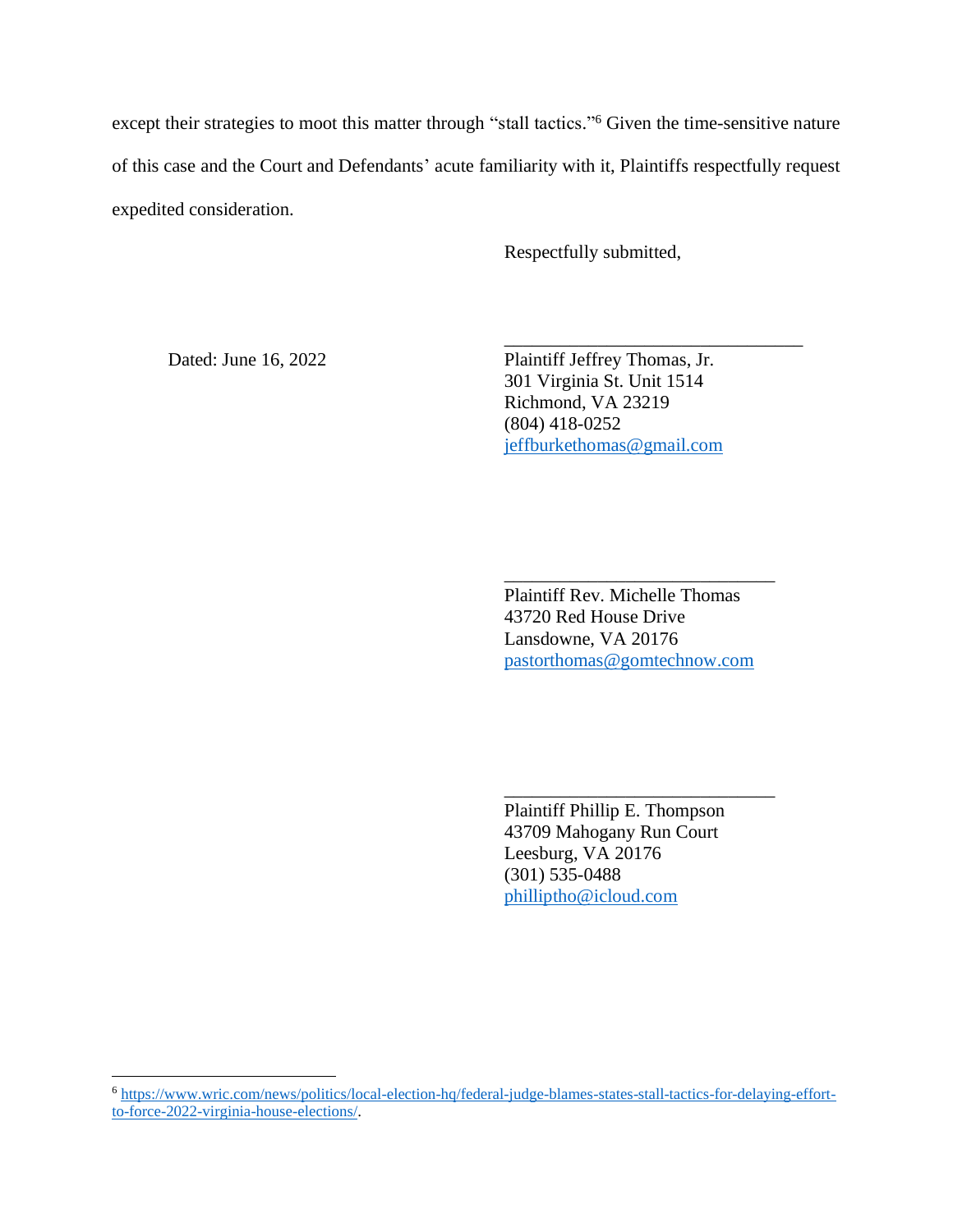except their strategies to moot this matter through "stall tactics."<sup>6</sup> Given the time-sensitive nature of this case and the Court and Defendants' acute familiarity with it, Plaintiffs respectfully request expedited consideration.

 $\overline{\phantom{a}}$  , and the contract of the contract of the contract of the contract of the contract of the contract of the contract of the contract of the contract of the contract of the contract of the contract of the contrac

Respectfully submitted,

Dated: June 16, 2022 Plaintiff Jeffrey Thomas, Jr. 301 Virginia St. Unit 1514 Richmond, VA 23219 (804) 418-0252 [jeffburkethomas@gmail.com](mailto:jeffburkethomas@gmail.com)

> Plaintiff Rev. Michelle Thomas 43720 Red House Drive Lansdowne, VA 20176 [pastorthomas@gomtechnow.com](mailto:pastorthomas@gomtechnow.com)

\_\_\_\_\_\_\_\_\_\_\_\_\_\_\_\_\_\_\_\_\_\_\_\_\_\_\_\_\_

Plaintiff Phillip E. Thompson 43709 Mahogany Run Court Leesburg, VA 20176 (301) 535-0488 [philliptho@icloud.com](mailto:philliptho@icloud.com)

\_\_\_\_\_\_\_\_\_\_\_\_\_\_\_\_\_\_\_\_\_\_\_\_\_\_\_\_\_

<sup>6</sup> [https://www.wric.com/news/politics/local-election-hq/federal-judge-blames-states-stall-tactics-for-delaying-effort](https://www.wric.com/news/politics/local-election-hq/federal-judge-blames-states-stall-tactics-for-delaying-effort-to-force-2022-virginia-house-elections/)[to-force-2022-virginia-house-elections/.](https://www.wric.com/news/politics/local-election-hq/federal-judge-blames-states-stall-tactics-for-delaying-effort-to-force-2022-virginia-house-elections/)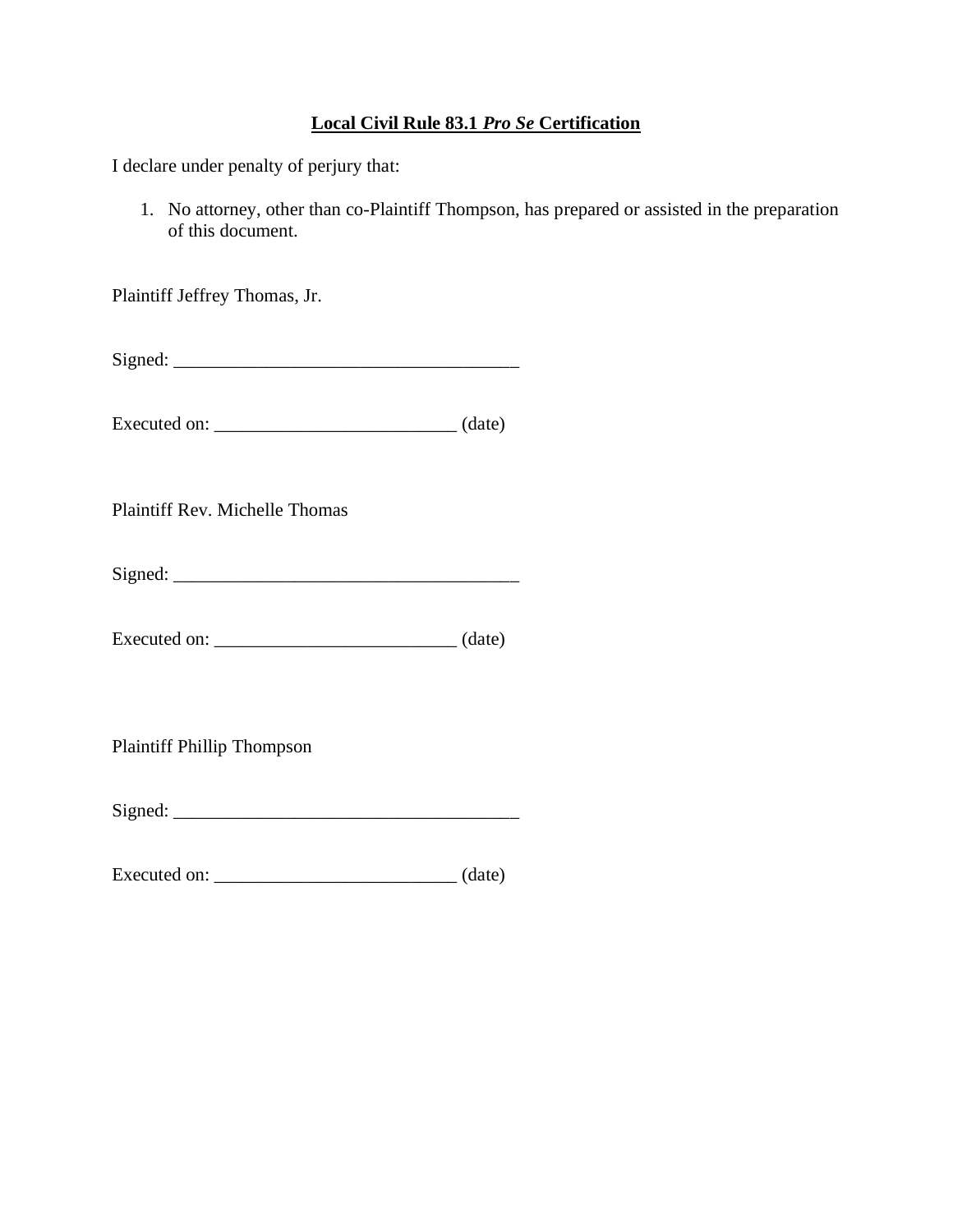# **Local Civil Rule 83.1** *Pro Se* **Certification**

I declare under penalty of perjury that:

1. No attorney, other than co-Plaintiff Thompson, has prepared or assisted in the preparation of this document.

Plaintiff Jeffrey Thomas, Jr.

Signed:

Executed on: \_\_\_\_\_\_\_\_\_\_\_\_\_\_\_\_\_\_\_\_\_\_\_\_\_\_ (date)

Plaintiff Rev. Michelle Thomas

 $Signed:$ 

Executed on: \_\_\_\_\_\_\_\_\_\_\_\_\_\_\_\_\_\_\_\_\_\_\_\_\_\_ (date)

Plaintiff Phillip Thompson

Signed: \_\_\_\_\_\_\_\_\_\_\_\_\_\_\_\_\_\_\_\_\_\_\_\_\_\_\_\_\_\_\_\_\_\_\_\_\_

Executed on: \_\_\_\_\_\_\_\_\_\_\_\_\_\_\_\_\_\_\_\_\_\_\_\_\_\_ (date)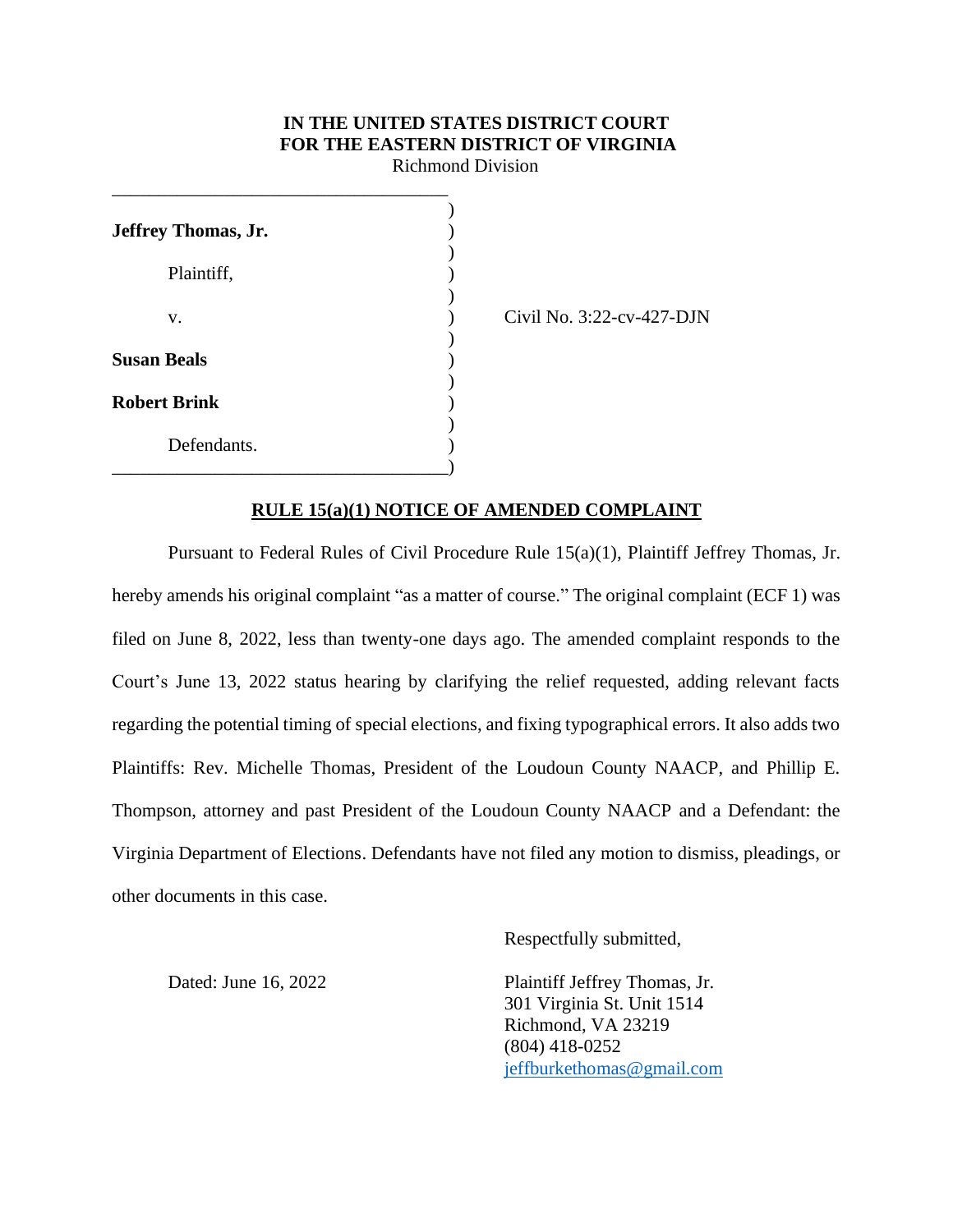# **IN THE UNITED STATES DISTRICT COURT FOR THE EASTERN DISTRICT OF VIRGINIA**

Richmond Division

| Jeffrey Thomas, Jr. |  |
|---------------------|--|
| Plaintiff,          |  |
| V.                  |  |
| <b>Susan Beals</b>  |  |
| <b>Robert Brink</b> |  |
| Defendants.         |  |

\_\_\_\_\_\_\_\_\_\_\_\_\_\_\_\_\_\_\_\_\_\_\_\_\_\_\_\_\_\_\_\_\_\_\_\_

Civil No. 3:22-cv-427-DJN

## **RULE 15(a)(1) NOTICE OF AMENDED COMPLAINT**

Pursuant to Federal Rules of Civil Procedure Rule 15(a)(1), Plaintiff Jeffrey Thomas, Jr. hereby amends his original complaint "as a matter of course." The original complaint (ECF 1) was filed on June 8, 2022, less than twenty-one days ago. The amended complaint responds to the Court's June 13, 2022 status hearing by clarifying the relief requested, adding relevant facts regarding the potential timing of special elections, and fixing typographical errors. It also adds two Plaintiffs: Rev. Michelle Thomas, President of the Loudoun County NAACP, and Phillip E. Thompson, attorney and past President of the Loudoun County NAACP and a Defendant: the Virginia Department of Elections. Defendants have not filed any motion to dismiss, pleadings, or other documents in this case.

Respectfully submitted,

Dated: June 16, 2022 Plaintiff Jeffrey Thomas, Jr. 301 Virginia St. Unit 1514 Richmond, VA 23219 (804) 418-0252 [jeffburkethomas@gmail.com](mailto:jeffburkethomas@gmail.com)